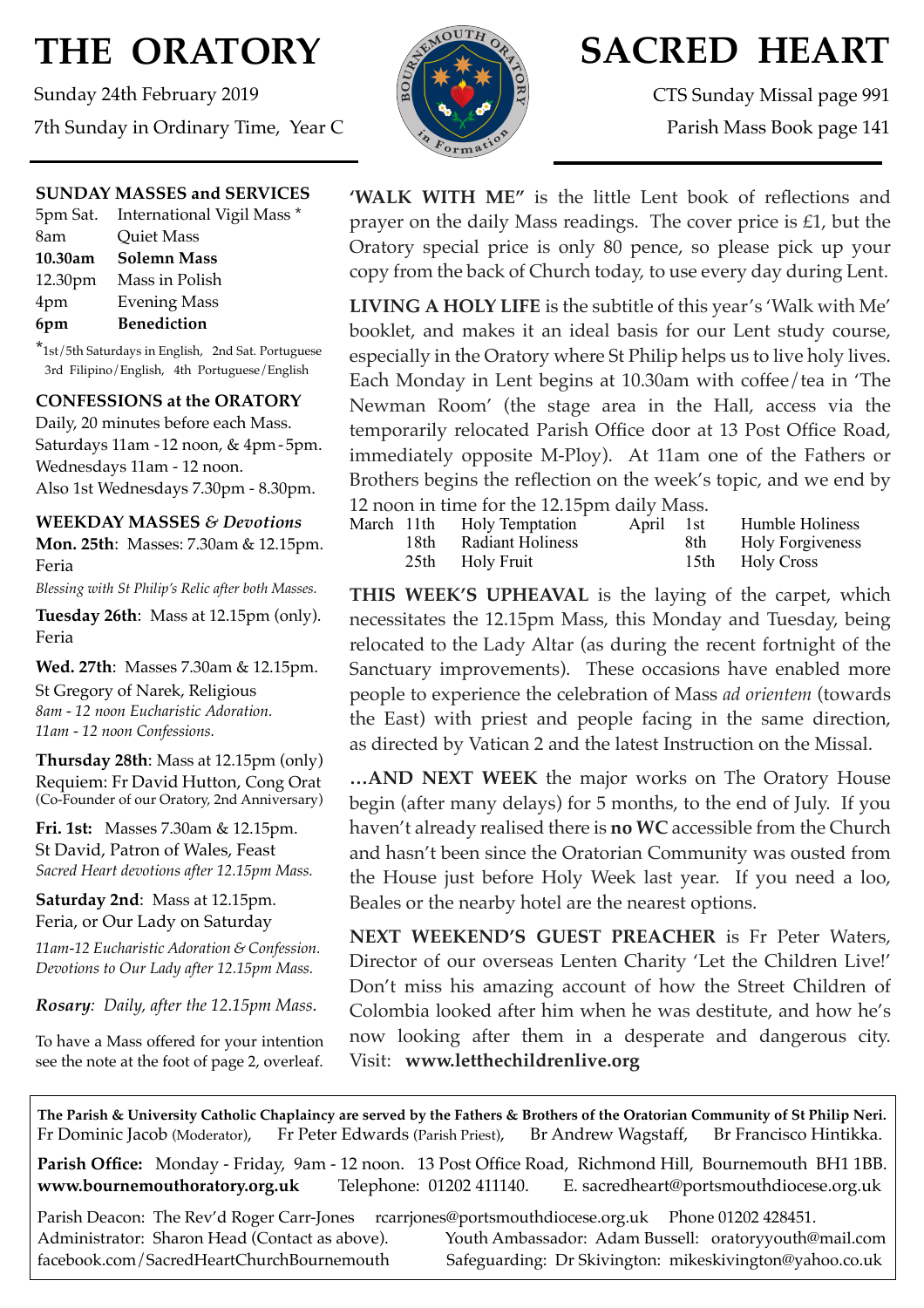# **THE ORATORY**

Sunday 24th February 2019 7th Sunday in Ordinary Time, Year C

# **SUNDAY MASSES and SERVICES**

|         | 5pm Sat. International Vigil Mass * |
|---------|-------------------------------------|
| 8am     | Quiet Mass                          |
| 10.30am | Solemn Mass                         |
|         | 12.30pm Mass in Polish              |
| 4pm     | <b>Evening Mass</b>                 |
| 6pm     | <b>Benediction</b>                  |

\*1st/5th Saturdays in English, 2nd Sat. Portuguese 3rd Filipino/English, 4th Portuguese/English

# **CONFESSIONS at the ORATORY**

Daily, 20 minutes before each Mass. Saturdays 11am - 12 noon, & 4pm- 5pm. Wednesdays 11am - 12 noon. Also 1st Wednesdays 7.30pm - 8.30pm.

**WEEKDAY MASSES** *& Devotions* **Mon. 25th**: Masses: 7.30am & 12.15pm. Feria

*Blessing with St Philip's Relic after both Masses.*

**Tuesday 26th**: Mass at 12.15pm (only). Feria

**Wed. 27th**: Masses 7.30am & 12.15pm.

St Gregory of Narek, Religious *8am - 12 noon Eucharistic Adoration. 11am - 12 noon Confessions.*

**Thursday 28th**: Mass at 12.15pm (only) Requiem: Fr David Hutton, Cong Orat (Co-Founder of our Oratory, 2nd Anniversary)

**Fri. 1st:** Masses 7.30am & 12.15pm. St David, Patron of Wales, Feast *Sacred Heart devotions after 12.15pm Mass.*

**Saturday 2nd**: Mass at 12.15pm. Feria, or Our Lady on Saturday

*11am-12 Eucharistic Adoration & Confession. Devotions to Our Lady after 12.15pm Mass.*

*Rosary: Daily, after the 12.15pm Mass*.

To have a Mass offered for your intention see the note at the foot of page 2, overleaf.



# **SACRED HEART**

CTS Sunday Missal page 991 Parish Mass Book page 141

**'WALK WITH ME"** is the little Lent book of reflections and prayer on the daily Mass readings. The cover price is £1, but the Oratory special price is only 80 pence, so please pick up your copy from the back of Church today, to use every day during Lent.

**LIVING A HOLY LIFE** is the subtitle of this year's 'Walk with Me' booklet, and makes it an ideal basis for our Lent study course, especially in the Oratory where St Philip helps us to live holy lives. Each Monday in Lent begins at 10.30am with coffee/tea in 'The Newman Room' (the stage area in the Hall, access via the temporarily relocated Parish Office door at 13 Post Office Road, immediately opposite M-Ploy). At 11am one of the Fathers or Brothers begins the reflection on the week's topic, and we end by 12 noon in time for the 12.15pm daily Mass.

| 12 HOOH IN UNIE TOT THE 12.15 pm Gally Mass. |  |                            |           |       |                         |  |  |
|----------------------------------------------|--|----------------------------|-----------|-------|-------------------------|--|--|
|                                              |  | March 11th Holy Temptation | April 1st |       | Humble Holiness         |  |  |
|                                              |  | 18th Radiant Holiness      |           | 8th - | <b>Holy Forgiveness</b> |  |  |
|                                              |  | 25th Holy Fruit            |           |       | 15th Holy Cross         |  |  |

**THIS WEEK'S UPHEAVAL** is the laying of the carpet, which necessitates the 12.15pm Mass, this Monday and Tuesday, being relocated to the Lady Altar (as during the recent fortnight of the Sanctuary improvements). These occasions have enabled more people to experience the celebration of Mass *ad orientem* (towards the East) with priest and people facing in the same direction, as directed by Vatican 2 and the latest Instruction on the Missal.

**…AND NEXT WEEK** the major works on The Oratory House begin (after many delays) for 5 months, to the end of July. If you haven't already realised there is **no WC** accessible from the Church and hasn't been since the Oratorian Community was ousted from the House just before Holy Week last year. If you need a loo, Beales or the nearby hotel are the nearest options.

**NEXT WEEKEND'S GUEST PREACHER** is Fr Peter Waters, Director of our overseas Lenten Charity 'Let the Children Live!' Don't miss his amazing account of how the Street Children of Colombia looked after him when he was destitute, and how he's now looking after them in a desperate and dangerous city. Visit: **www.letthechildrenlive.org**

**The Parish & University Catholic Chaplaincy are served by the Fathers & Brothers of the Oratorian Community of St Philip Neri.** Fr Dominic Jacob (Moderator), Fr Peter Edwards (Parish Priest), Br Andrew Wagstaff, Br Francisco Hintikka.

**Parish Office:** Monday - Friday, 9am - 12 noon. 13 Post Office Road, Richmond Hill, Bournemouth BH1 1BB. **[www.bournemouthoratory.org.uk](http://www.bournemoithoratory.org.uk)** Telephone: 01202 411140. E. [sacredheart@portsmouthdiocese.org.uk](mailto:sacredheart@portsmouthdiocese.org.uk)

Parish Deacon: The Rev'd Roger Carr-Jones [rcarrjones@portsmouthdiocese.org.uk](mailto:rcarrjones@portsmouthdiocese.org.uk) Phone 01202 428451.

Administrator: Sharon Head (Contact as above). Youth Ambassador: Adam Bussell: [oratoryyouth@mail.com](http://oratoryyouth.mail.com) [facebook.com/SacredHeartChurchBournemouth](http://facebook.com/SaccredHeartChurchBournemouth) Safeguarding: Dr Skivington: mikeskivington@yahoo.co.uk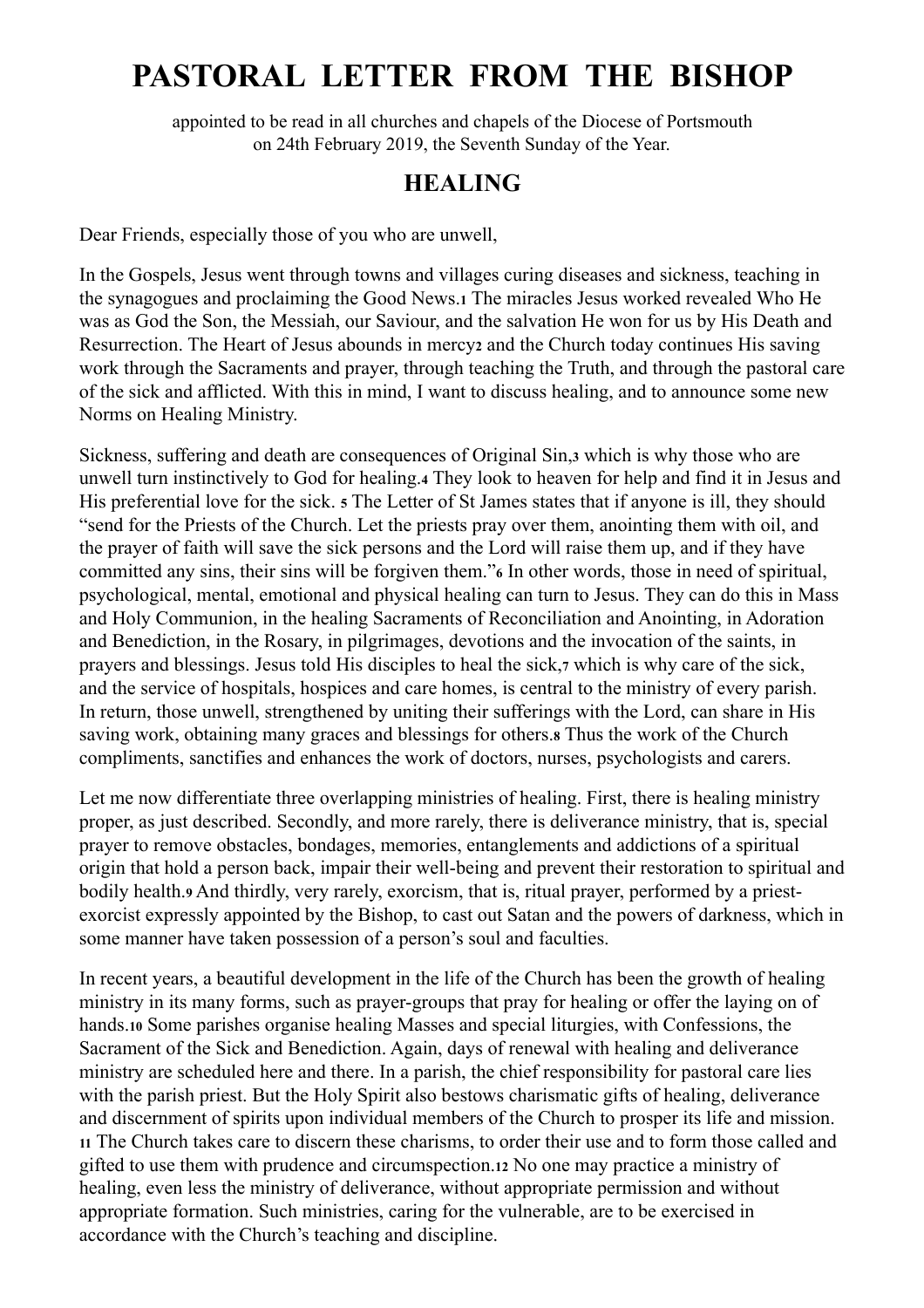# **PASTORAL LETTER FROM THE BISHOP**

appointed to be read in all churches and chapels of the Diocese of Portsmouth on 24th February 2019, the Seventh Sunday of the Year.

# **HEALING**

Dear Friends, especially those of you who are unwell,

In the Gospels, Jesus went through towns and villages curing diseases and sickness, teaching in the synagogues and proclaiming the Good News.**1** The miracles Jesus worked revealed Who He was as God the Son, the Messiah, our Saviour, and the salvation He won for us by His Death and Resurrection. The Heart of Jesus abounds in mercy**2** and the Church today continues His saving work through the Sacraments and prayer, through teaching the Truth, and through the pastoral care of the sick and afflicted. With this in mind, I want to discuss healing, and to announce some new Norms on Healing Ministry.

Sickness, suffering and death are consequences of Original Sin,**3** which is why those who are unwell turn instinctively to God for healing.**4** They look to heaven for help and find it in Jesus and His preferential love for the sick. **5** The Letter of St James states that if anyone is ill, they should "send for the Priests of the Church. Let the priests pray over them, anointing them with oil, and the prayer of faith will save the sick persons and the Lord will raise them up, and if they have committed any sins, their sins will be forgiven them."**6** In other words, those in need of spiritual, psychological, mental, emotional and physical healing can turn to Jesus. They can do this in Mass and Holy Communion, in the healing Sacraments of Reconciliation and Anointing, in Adoration and Benediction, in the Rosary, in pilgrimages, devotions and the invocation of the saints, in prayers and blessings. Jesus told His disciples to heal the sick,**7** which is why care of the sick, and the service of hospitals, hospices and care homes, is central to the ministry of every parish. In return, those unwell, strengthened by uniting their sufferings with the Lord, can share in His saving work, obtaining many graces and blessings for others.**8** Thus the work of the Church compliments, sanctifies and enhances the work of doctors, nurses, psychologists and carers.

Let me now differentiate three overlapping ministries of healing. First, there is healing ministry proper, as just described. Secondly, and more rarely, there is deliverance ministry, that is, special prayer to remove obstacles, bondages, memories, entanglements and addictions of a spiritual origin that hold a person back, impair their well-being and prevent their restoration to spiritual and bodily health.**9** And thirdly, very rarely, exorcism, that is, ritual prayer, performed by a priestexorcist expressly appointed by the Bishop, to cast out Satan and the powers of darkness, which in some manner have taken possession of a person's soul and faculties.

In recent years, a beautiful development in the life of the Church has been the growth of healing ministry in its many forms, such as prayer-groups that pray for healing or offer the laying on of hands.**10** Some parishes organise healing Masses and special liturgies, with Confessions, the Sacrament of the Sick and Benediction. Again, days of renewal with healing and deliverance ministry are scheduled here and there. In a parish, the chief responsibility for pastoral care lies with the parish priest. But the Holy Spirit also bestows charismatic gifts of healing, deliverance and discernment of spirits upon individual members of the Church to prosper its life and mission. **<sup>11</sup>** The Church takes care to discern these charisms, to order their use and to form those called and gifted to use them with prudence and circumspection.**12** No one may practice a ministry of healing, even less the ministry of deliverance, without appropriate permission and without appropriate formation. Such ministries, caring for the vulnerable, are to be exercised in accordance with the Church's teaching and discipline.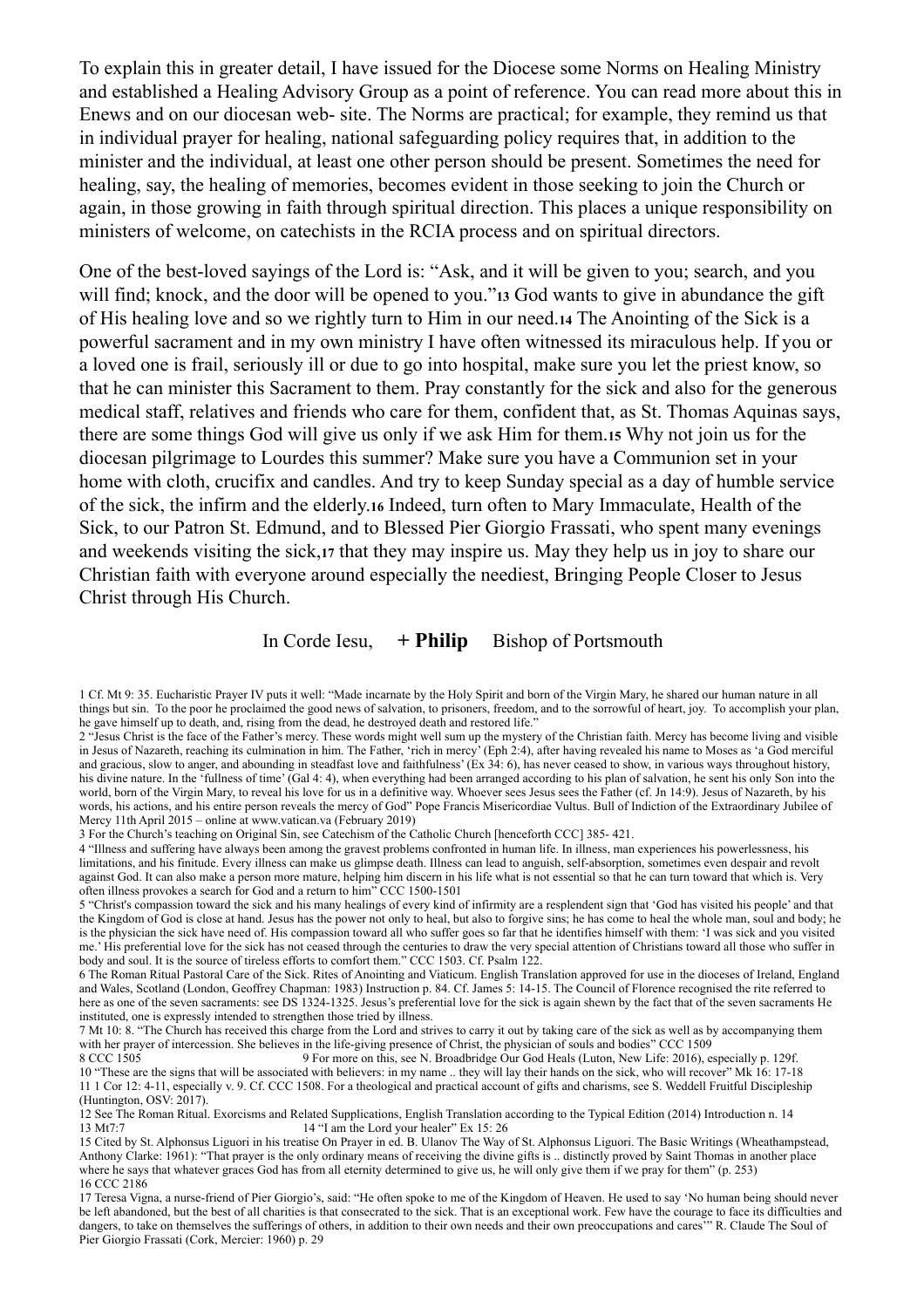To explain this in greater detail, I have issued for the Diocese some Norms on Healing Ministry and established a Healing Advisory Group as a point of reference. You can read more about this in Enews and on our diocesan web- site. The Norms are practical; for example, they remind us that in individual prayer for healing, national safeguarding policy requires that, in addition to the minister and the individual, at least one other person should be present. Sometimes the need for healing, say, the healing of memories, becomes evident in those seeking to join the Church or again, in those growing in faith through spiritual direction. This places a unique responsibility on ministers of welcome, on catechists in the RCIA process and on spiritual directors.

One of the best-loved sayings of the Lord is: "Ask, and it will be given to you; search, and you will find; knock, and the door will be opened to you."**13** God wants to give in abundance the gift of His healing love and so we rightly turn to Him in our need.**14** The Anointing of the Sick is a powerful sacrament and in my own ministry I have often witnessed its miraculous help. If you or a loved one is frail, seriously ill or due to go into hospital, make sure you let the priest know, so that he can minister this Sacrament to them. Pray constantly for the sick and also for the generous medical staff, relatives and friends who care for them, confident that, as St. Thomas Aquinas says, there are some things God will give us only if we ask Him for them.**15** Why not join us for the diocesan pilgrimage to Lourdes this summer? Make sure you have a Communion set in your home with cloth, crucifix and candles. And try to keep Sunday special as a day of humble service of the sick, the infirm and the elderly.**16** Indeed, turn often to Mary Immaculate, Health of the Sick, to our Patron St. Edmund, and to Blessed Pier Giorgio Frassati, who spent many evenings and weekends visiting the sick,**17** that they may inspire us. May they help us in joy to share our Christian faith with everyone around especially the neediest, Bringing People Closer to Jesus Christ through His Church.

# In Corde Iesu, **+ Philip** Bishop of Portsmouth

1 Cf. Mt 9: 35. Eucharistic Prayer IV puts it well: "Made incarnate by the Holy Spirit and born of the Virgin Mary, he shared our human nature in all things but sin. To the poor he proclaimed the good news of salvation, to prisoners, freedom, and to the sorrowful of heart, joy. To accomplish your plan, he gave himself up to death, and, rising from the dead, he destroyed death and restored life.'

3 For the Church's teaching on Original Sin, see Catechism of the Catholic Church [henceforth CCC] 385- 421.

4 "Illness and suffering have always been among the gravest problems confronted in human life. In illness, man experiences his powerlessness, his limitations, and his finitude. Every illness can make us glimpse death. Illness can lead to anguish, self-absorption, sometimes even despair and revolt against God. It can also make a person more mature, helping him discern in his life what is not essential so that he can turn toward that which is. Very often illness provokes a search for God and a return to him" CCC 1500-1501

5 "Christ's compassion toward the sick and his many healings of every kind of infirmity are a resplendent sign that 'God has visited his people' and that the Kingdom of God is close at hand. Jesus has the power not only to heal, but also to forgive sins; he has come to heal the whole man, soul and body; he is the physician the sick have need of. His compassion toward all who suffer goes so far that he identifies himself with them: 'I was sick and you visited me.' His preferential love for the sick has not ceased through the centuries to draw the very special attention of Christians toward all those who suffer in body and soul. It is the source of tireless efforts to comfort them." CCC 1503. Cf. Psalm 122.

6 The Roman Ritual Pastoral Care of the Sick. Rites of Anointing and Viaticum. English Translation approved for use in the dioceses of Ireland, England and Wales, Scotland (London, Geoffrey Chapman: 1983) Instruction p. 84. Cf. James 5: 14-15. The Council of Florence recognised the rite referred to here as one of the seven sacraments: see DS 1324-1325. Jesus's preferential love for the sick is again shewn by the fact that of the seven sacraments He instituted, one is expressly intended to strengthen those tried by illness.

7 Mt 10: 8. "The Church has received this charge from the Lord and strives to carry it out by taking care of the sick as well as by accompanying them with her prayer of intercession. She believes in the life-giving presence of Christ, the physician of souls and bodies" CCC 1509

8 CCC 1505 9 For more on this, see N. Broadbridge Our God Heals (Luton, New Life: 2016), especially p. 129f. 10 "These are the signs that will be associated with believers: in my name .. they will lay their hands on the sick, who will recover" Mk 16: 17-18 11 1 Cor 12: 4-11, especially v. 9. Cf. CCC 1508. For a theological and practical account of gifts and charisms, see S. Weddell Fruitful Discipleship (Huntington, OSV: 2017).

12 See The Roman Ritual. Exorcisms and Related Supplications, English Translation according to the Typical Edition (2014) Introduction n. 14<br>13 Mt7:7 14 "I am the Lord your healer" Ex 15: 26

17 Teresa Vigna, a nurse-friend of Pier Giorgio's, said: "He often spoke to me of the Kingdom of Heaven. He used to say 'No human being should never be left abandoned, but the best of all charities is that consecrated to the sick. That is an exceptional work. Few have the courage to face its difficulties and dangers, to take on themselves the sufferings of others, in addition to their own needs and their own preoccupations and cares<sup>3</sup>. R. Claude The Soul of Pier Giorgio Frassati (Cork, Mercier: 1960) p. 29

<sup>2 &</sup>quot;Jesus Christ is the face of the Father's mercy. These words might well sum up the mystery of the Christian faith. Mercy has become living and visible in Jesus of Nazareth, reaching its culmination in him. The Father, 'rich in mercy' (Eph 2:4), after having revealed his name to Moses as 'a God merciful and gracious, slow to anger, and abounding in steadfast love and faithfulness' (Ex 34: 6), has never ceased to show, in various ways throughout history, his divine nature. In the 'fullness of time' (Gal 4: 4), when everything had been arranged according to his plan of salvation, he sent his only Son into the world, born of the Virgin Mary, to reveal his love for us in a definitive way. Whoever sees Jesus sees the Father (cf. Jn 14:9). Jesus of Nazareth, by his words, his actions, and his entire person reveals the mercy of God" Pope Francis Misericordiae Vultus. Bull of Indiction of the Extraordinary Jubilee of Mercy 11th April 2015 – online at www.vatican.va (February 2019)

<sup>15</sup> Cited by St. Alphonsus Liguori in his treatise On Prayer in ed. B. Ulanov The Way of St. Alphonsus Liguori. The Basic Writings (Wheathampstead, Anthony Clarke: 1961): "That prayer is the only ordinary means of receiving the divine gifts is .. distinctly proved by Saint Thomas in another place where he says that whatever graces God has from all eternity determined to give us, he will only give them if we pray for them" (p. 253) 16 CCC 2186